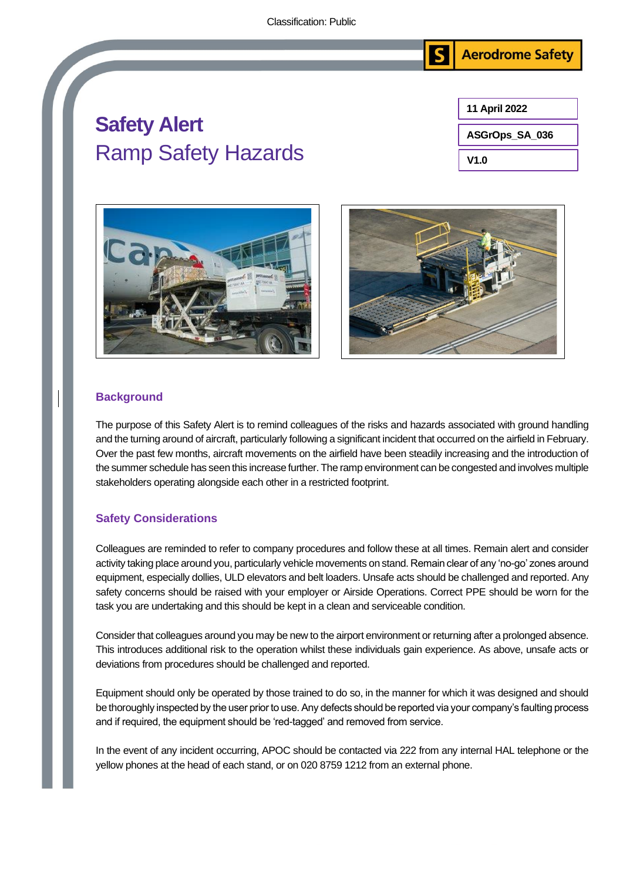

## **Safety Alert**  Ramp Safety Hazards







## **Background**

The purpose of this Safety Alert is to remind colleagues of the risks and hazards associated with ground handling and the turning around of aircraft, particularly following a significant incident that occurred on the airfield in February. Over the past few months, aircraft movements on the airfield have been steadily increasing and the introduction of the summer schedule has seen this increase further. The ramp environment can be congested and involves multiple stakeholders operating alongside each other in a restricted footprint.

## **Safety Considerations**

Colleagues are reminded to refer to company procedures and follow these at all times. Remain alert and consider activity taking place around you, particularly vehicle movements on stand. Remain clear of any 'no-go' zones around equipment, especially dollies, ULD elevators and belt loaders. Unsafe acts should be challenged and reported. Any safety concerns should be raised with your employer or Airside Operations. Correct PPE should be worn for the task you are undertaking and this should be kept in a clean and serviceable condition.

Consider that colleagues around you may be new to the airport environment or returning after a prolonged absence. This introduces additional risk to the operation whilst these individuals gain experience. As above, unsafe acts or deviations from procedures should be challenged and reported.

Equipment should only be operated by those trained to do so, in the manner for which it was designed and should be thoroughly inspected by the user prior to use. Any defects should be reported via your company's faulting process and if required, the equipment should be 'red-tagged' and removed from service.

In the event of any incident occurring, APOC should be contacted via 222 from any internal HAL telephone or the yellow phones at the head of each stand, or on 020 8759 1212 from an external phone.